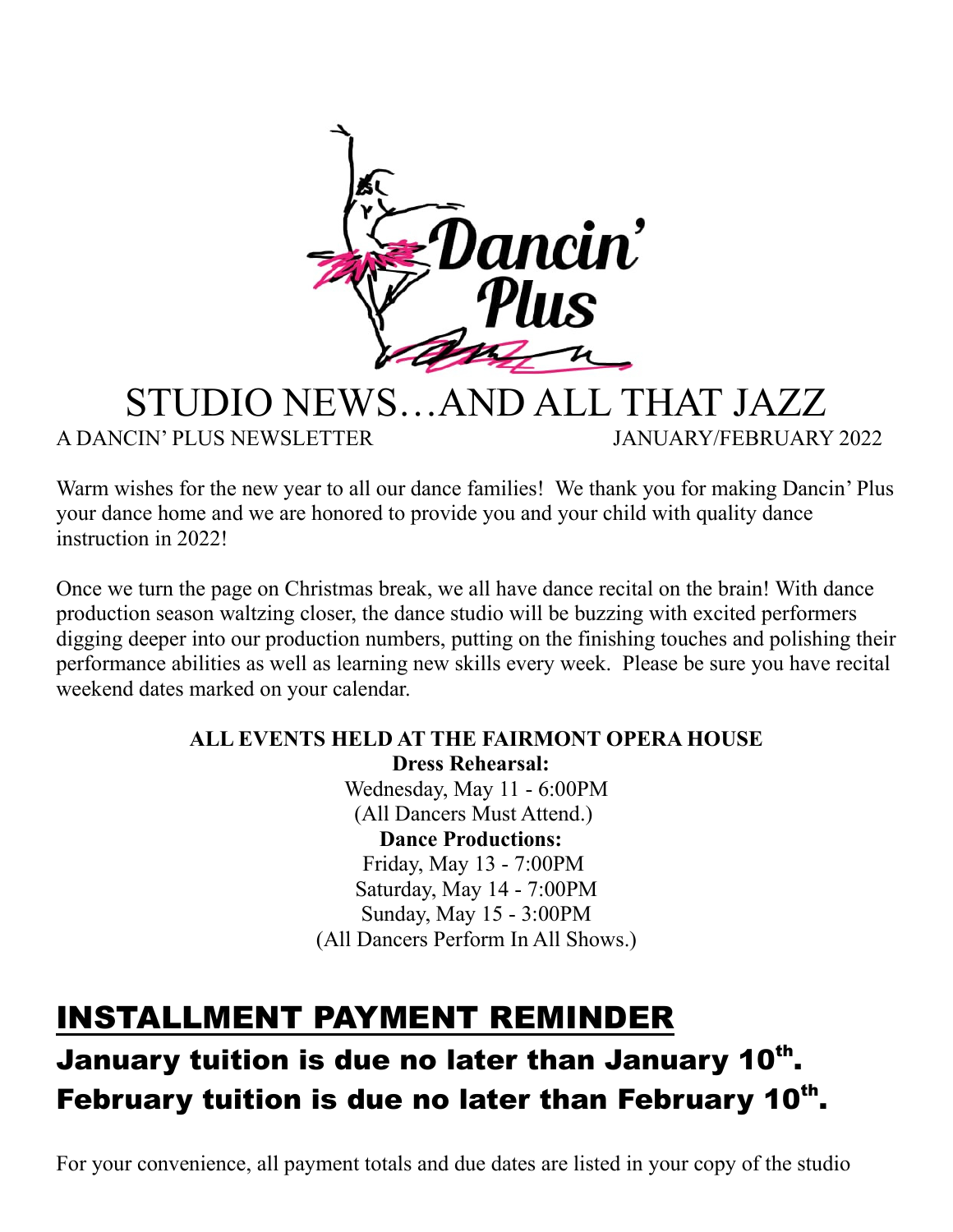

#### STUDIO NEWS…AND ALL THAT JAZZ A DANCIN' PLUS NEWSLETTER JANUARY/FEBRUARY 2022

Warm wishes for the new year to all our dance families! We thank you for making Dancin' Plus your dance home and we are honored to provide you and your child with quality dance instruction in 2022!

Once we turn the page on Christmas break, we all have dance recital on the brain! With dance production season waltzing closer, the dance studio will be buzzing with excited performers digging deeper into our production numbers, putting on the finishing touches and polishing their performance abilities as well as learning new skills every week. Please be sure you have recital weekend dates marked on your calendar.

#### **ALL EVENTS HELD AT THE FAIRMONT OPERA HOUSE Dress Rehearsal:**  Wednesday, May 11 - 6:00PM (All Dancers Must Attend.) **Dance Productions:**  Friday, May 13 - 7:00PM Saturday, May 14 - 7:00PM Sunday, May 15 - 3:00PM (All Dancers Perform In All Shows.)

## INSTALLMENT PAYMENT REMINDER

## January tuition is due no later than January 10<sup>th</sup>. February tuition is due no later than February 10<sup>th</sup>.

For your convenience, all payment totals and due dates are listed in your copy of the studio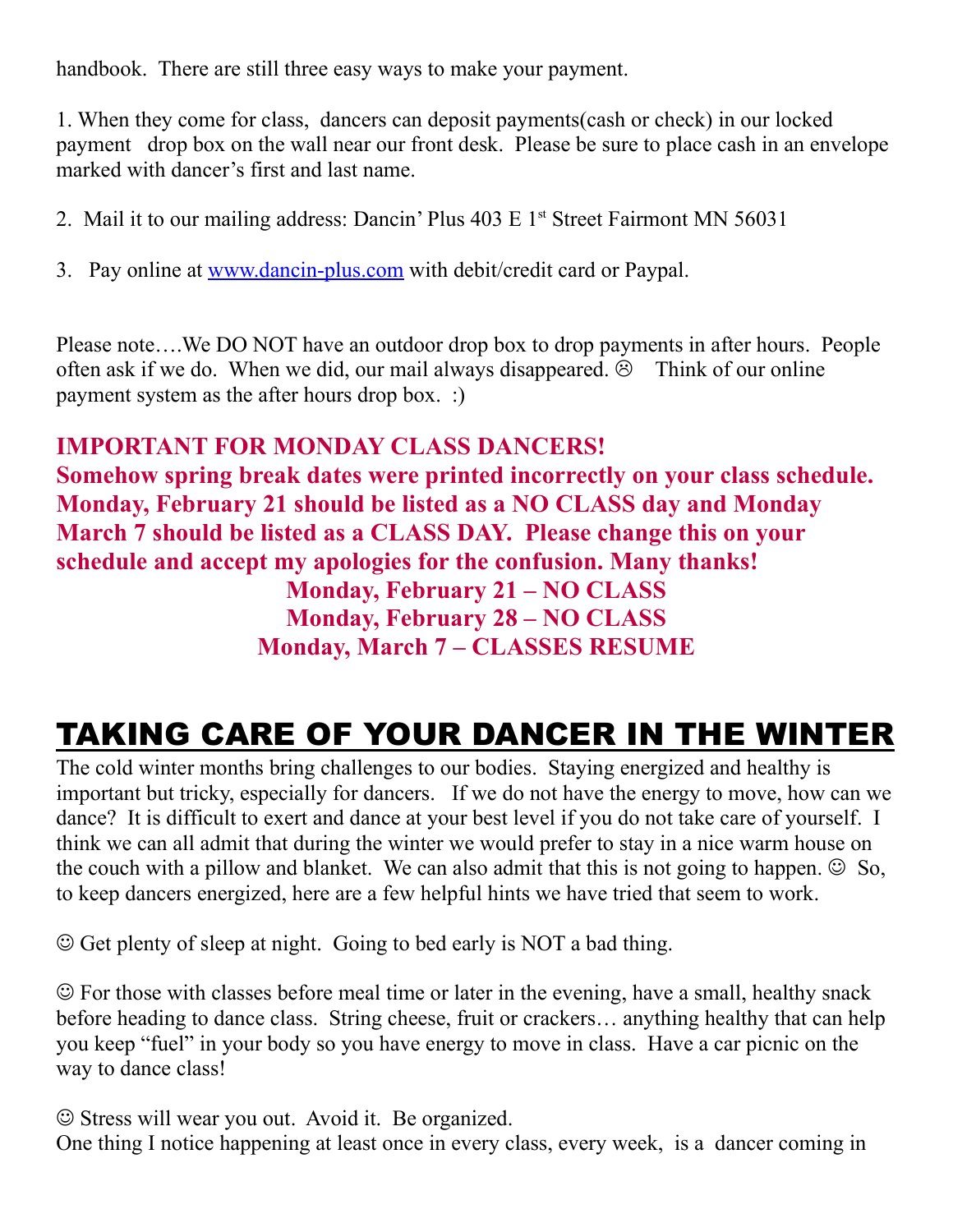handbook. There are still three easy ways to make your payment.

1. When they come for class, dancers can deposit payments(cash or check) in our locked payment drop box on the wall near our front desk. Please be sure to place cash in an envelope marked with dancer's first and last name.

- 2. Mail it to our mailing address: Dancin' Plus  $403 \text{ E } 1$ <sup>st</sup> Street Fairmont MN 56031
- 3. Pay online at www.dancin-plus.com with debit/credit card or Paypal.

Please note….We DO NOT have an outdoor drop box to drop payments in after hours. People often ask if we do. When we did, our mail always disappeared.  $\hat{\odot}$  Think of our online payment system as the after hours drop box. :)

#### **IMPORTANT FOR MONDAY CLASS DANCERS!**

**Somehow spring break dates were printed incorrectly on your class schedule. Monday, February 21 should be listed as a NO CLASS day and Monday March 7 should be listed as a CLASS DAY. Please change this on your schedule and accept my apologies for the confusion. Many thanks! Monday, February 21 – NO CLASS Monday, February 28 – NO CLASS Monday, March 7 – CLASSES RESUME**

## TAKING CARE OF YOUR DANCER IN THE WINTER

The cold winter months bring challenges to our bodies. Staying energized and healthy is important but tricky, especially for dancers. If we do not have the energy to move, how can we dance? It is difficult to exert and dance at your best level if you do not take care of yourself. I think we can all admit that during the winter we would prefer to stay in a nice warm house on the couch with a pillow and blanket. We can also admit that this is not going to happen.  $\odot$  So, to keep dancers energized, here are a few helpful hints we have tried that seem to work.

Get plenty of sleep at night. Going to bed early is NOT a bad thing.

 For those with classes before meal time or later in the evening, have a small, healthy snack before heading to dance class. String cheese, fruit or crackers… anything healthy that can help you keep "fuel" in your body so you have energy to move in class. Have a car picnic on the way to dance class!

Stress will wear you out. Avoid it. Be organized.

One thing I notice happening at least once in every class, every week, is a dancer coming in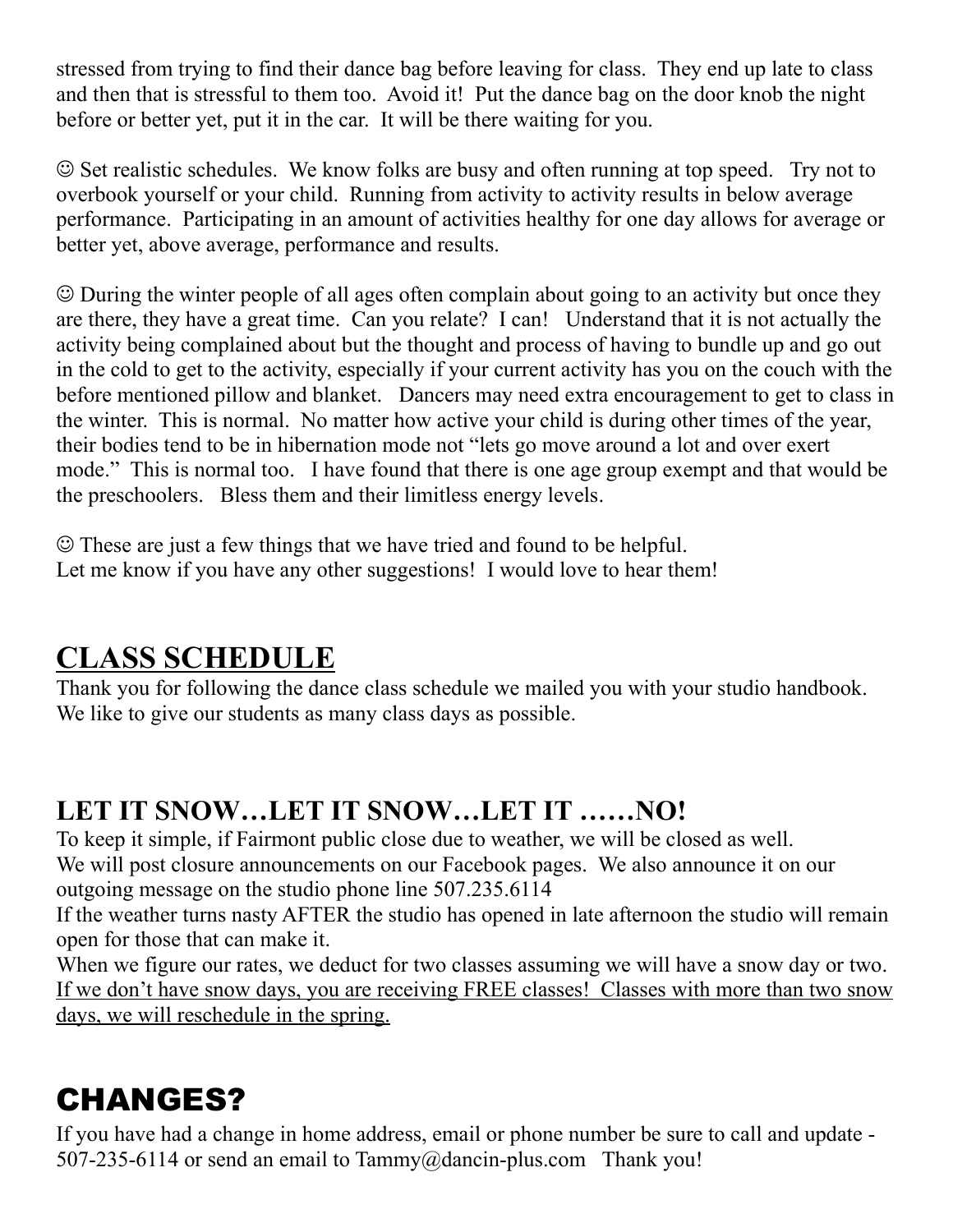stressed from trying to find their dance bag before leaving for class. They end up late to class and then that is stressful to them too. Avoid it! Put the dance bag on the door knob the night before or better yet, put it in the car. It will be there waiting for you.

 $\odot$  Set realistic schedules. We know folks are busy and often running at top speed. Try not to overbook yourself or your child. Running from activity to activity results in below average performance. Participating in an amount of activities healthy for one day allows for average or better yet, above average, performance and results.

 During the winter people of all ages often complain about going to an activity but once they are there, they have a great time. Can you relate? I can! Understand that it is not actually the activity being complained about but the thought and process of having to bundle up and go out in the cold to get to the activity, especially if your current activity has you on the couch with the before mentioned pillow and blanket. Dancers may need extra encouragement to get to class in the winter. This is normal. No matter how active your child is during other times of the year, their bodies tend to be in hibernation mode not "lets go move around a lot and over exert mode." This is normal too. I have found that there is one age group exempt and that would be the preschoolers. Bless them and their limitless energy levels.

 These are just a few things that we have tried and found to be helpful. Let me know if you have any other suggestions! I would love to hear them!

### **CLASS SCHEDULE**

Thank you for following the dance class schedule we mailed you with your studio handbook. We like to give our students as many class days as possible.

#### **LET IT SNOW…LET IT SNOW…LET IT ……NO!**

To keep it simple, if Fairmont public close due to weather, we will be closed as well. We will post closure announcements on our Facebook pages. We also announce it on our outgoing message on the studio phone line 507.235.6114

If the weather turns nasty AFTER the studio has opened in late afternoon the studio will remain open for those that can make it.

When we figure our rates, we deduct for two classes assuming we will have a snow day or two. If we don't have snow days, you are receiving FREE classes! Classes with more than two snow days, we will reschedule in the spring.

## CHANGES?

If you have had a change in home address, email or phone number be sure to call and update - 507-235-6114 or send an email to Tammy@dancin-plus.com Thank you!